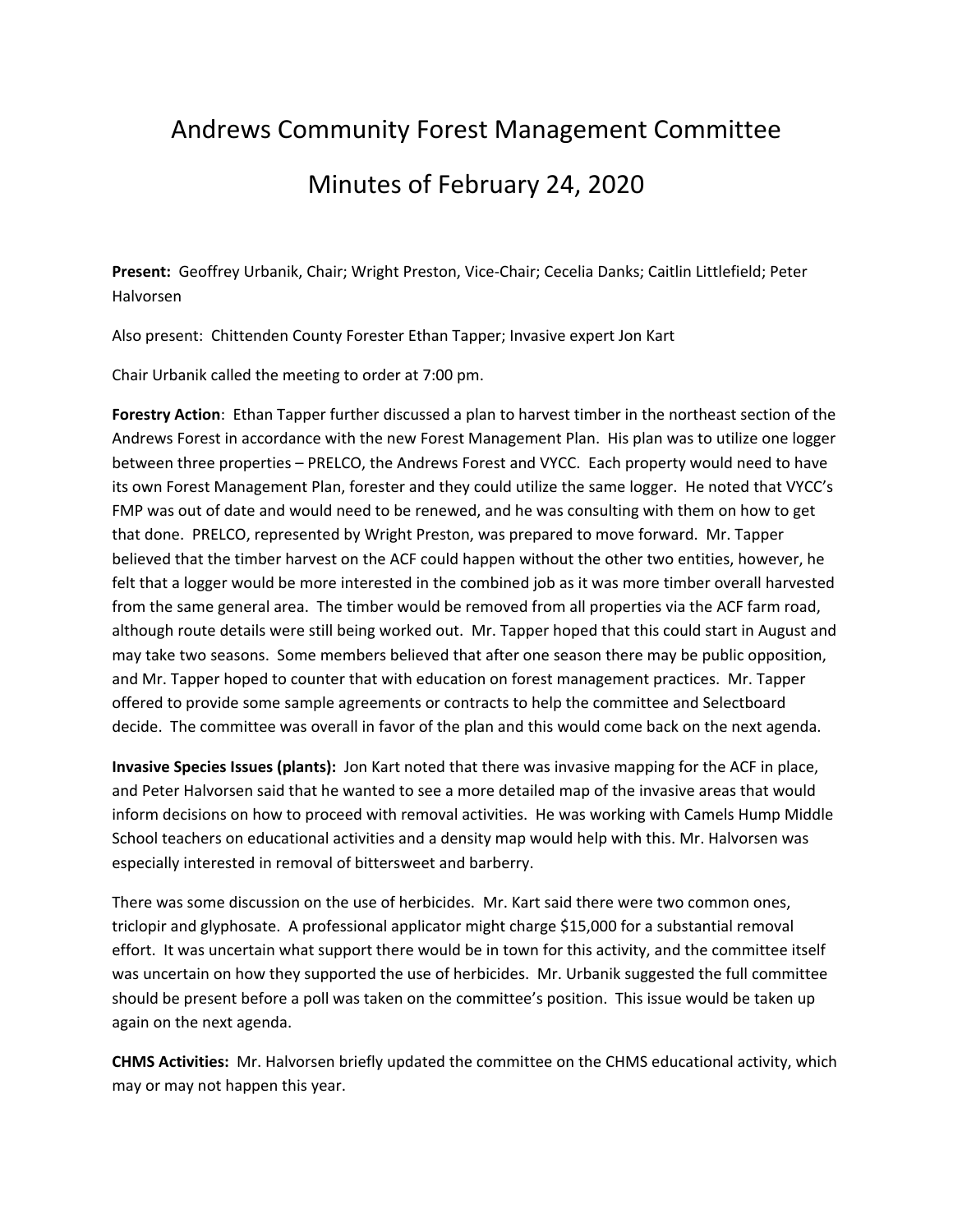## Andrews Community Forest Management Committee Minutes of February 24, 2020

**Present:** Geoffrey Urbanik, Chair; Wright Preston, Vice‐Chair; Cecelia Danks; Caitlin Littlefield; Peter Halvorsen

Also present: Chittenden County Forester Ethan Tapper; Invasive expert Jon Kart

Chair Urbanik called the meeting to order at 7:00 pm.

**Forestry Action**: Ethan Tapper further discussed a plan to harvest timber in the northeast section of the Andrews Forest in accordance with the new Forest Management Plan. His plan was to utilize one logger between three properties – PRELCO, the Andrews Forest and VYCC. Each property would need to have its own Forest Management Plan, forester and they could utilize the same logger. He noted that VYCC's FMP was out of date and would need to be renewed, and he was consulting with them on how to get that done. PRELCO, represented by Wright Preston, was prepared to move forward. Mr. Tapper believed that the timber harvest on the ACF could happen without the other two entities, however, he felt that a logger would be more interested in the combined job as it was more timber overall harvested from the same general area. The timber would be removed from all properties via the ACF farm road, although route details were still being worked out. Mr. Tapper hoped that this could start in August and may take two seasons. Some members believed that after one season there may be public opposition, and Mr. Tapper hoped to counter that with education on forest management practices. Mr. Tapper offered to provide some sample agreements or contracts to help the committee and Selectboard decide. The committee was overall in favor of the plan and this would come back on the next agenda.

**Invasive Species Issues (plants):** Jon Kart noted that there was invasive mapping for the ACF in place, and Peter Halvorsen said that he wanted to see a more detailed map of the invasive areas that would inform decisions on how to proceed with removal activities. He was working with Camels Hump Middle School teachers on educational activities and a density map would help with this. Mr. Halvorsen was especially interested in removal of bittersweet and barberry.

There was some discussion on the use of herbicides. Mr. Kart said there were two common ones, triclopir and glyphosate. A professional applicator might charge \$15,000 for a substantial removal effort. It was uncertain what support there would be in town for this activity, and the committee itself was uncertain on how they supported the use of herbicides. Mr. Urbanik suggested the full committee should be present before a poll was taken on the committee's position. This issue would be taken up again on the next agenda.

**CHMS Activities:** Mr. Halvorsen briefly updated the committee on the CHMS educational activity, which may or may not happen this year.